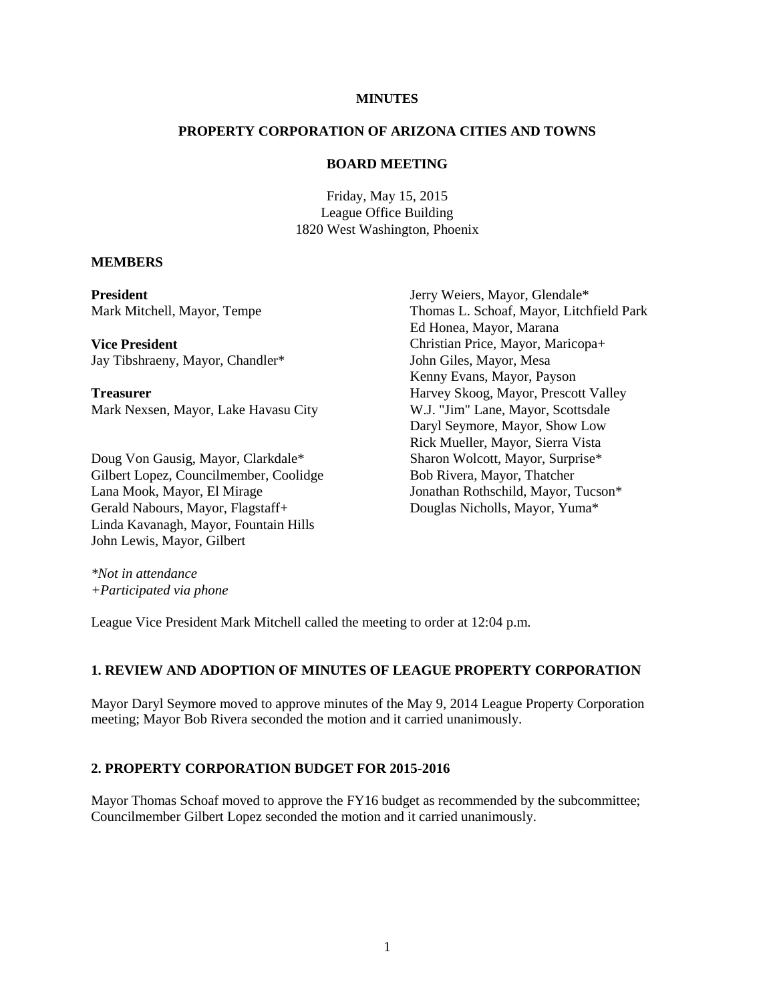## **MINUTES**

### **PROPERTY CORPORATION OF ARIZONA CITIES AND TOWNS**

### **BOARD MEETING**

Friday, May 15, 2015 League Office Building 1820 West Washington, Phoenix

#### **MEMBERS**

**President** Mark Mitchell, Mayor, Tempe

**Vice President** Jay Tibshraeny, Mayor, Chandler\*

**Treasurer** Mark Nexsen, Mayor, Lake Havasu City

Doug Von Gausig, Mayor, Clarkdale\* Gilbert Lopez, Councilmember, Coolidge Lana Mook, Mayor, El Mirage Gerald Nabours, Mayor, Flagstaff+ Linda Kavanagh, Mayor, Fountain Hills John Lewis, Mayor, Gilbert

Jerry Weiers, Mayor, Glendale\* Thomas L. Schoaf, Mayor, Litchfield Park Ed Honea, Mayor, Marana Christian Price, Mayor, Maricopa+ John Giles, Mayor, Mesa Kenny Evans, Mayor, Payson Harvey Skoog, Mayor, Prescott Valley W.J. "Jim" Lane, Mayor, Scottsdale Daryl Seymore, Mayor, Show Low Rick Mueller, Mayor, Sierra Vista Sharon Wolcott, Mayor, Surprise\* Bob Rivera, Mayor, Thatcher Jonathan Rothschild, Mayor, Tucson\* Douglas Nicholls, Mayor, Yuma\*

*\*Not in attendance +Participated via phone* 

League Vice President Mark Mitchell called the meeting to order at 12:04 p.m.

## **1. REVIEW AND ADOPTION OF MINUTES OF LEAGUE PROPERTY CORPORATION**

Mayor Daryl Seymore moved to approve minutes of the May 9, 2014 League Property Corporation meeting; Mayor Bob Rivera seconded the motion and it carried unanimously.

# **2. PROPERTY CORPORATION BUDGET FOR 2015-2016**

Mayor Thomas Schoaf moved to approve the FY16 budget as recommended by the subcommittee; Councilmember Gilbert Lopez seconded the motion and it carried unanimously.